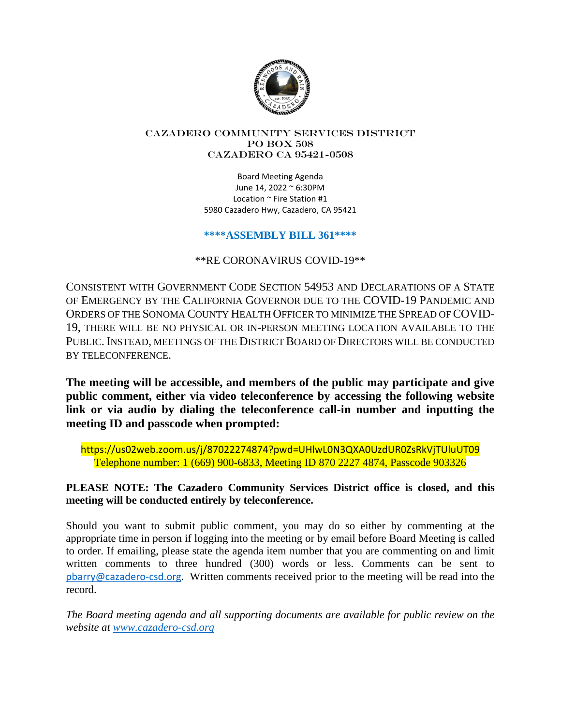

#### Cazadero Community Services District PO Box 508 CAZADERO CA 95421-0508

Board Meeting Agenda June 14, 2022 ~ 6:30PM Location ~ Fire Station #1 5980 Cazadero Hwy, Cazadero, CA 95421

## **\*\*\*\*ASSEMBLY BILL 361\*\*\*\***

\*\*RE CORONAVIRUS COVID-19\*\*

CONSISTENT WITH GOVERNMENT CODE SECTION 54953 AND DECLARATIONS OF A STATE OF EMERGENCY BY THE CALIFORNIA GOVERNOR DUE TO THE COVID-19 PANDEMIC AND ORDERS OF THE SONOMA COUNTY HEALTH OFFICER TO MINIMIZE THE SPREAD OF COVID-19, THERE WILL BE NO PHYSICAL OR IN-PERSON MEETING LOCATION AVAILABLE TO THE PUBLIC. INSTEAD, MEETINGS OF THE DISTRICT BOARD OF DIRECTORS WILL BE CONDUCTED BY TELECONFERENCE.

**The meeting will be accessible, and members of the public may participate and give public comment, either via video teleconference by accessing the following website link or via audio by dialing the teleconference call-in number and inputting the meeting ID and passcode when prompted:**

https://us02web.zoom.us/j/87022274874?pwd=UHlwL0N3QXA0UzdUR0ZsRkVjTUluUT09 Telephone number: 1 (669) 900-6833, Meeting ID 870 2227 4874, Passcode 903326

# **PLEASE NOTE: The Cazadero Community Services District office is closed, and this meeting will be conducted entirely by teleconference.**

Should you want to submit public comment, you may do so either by commenting at the appropriate time in person if logging into the meeting or by email before Board Meeting is called to order. If emailing, please state the agenda item number that you are commenting on and limit written comments to three hundred (300) words or less. Comments can be sent to pbarry@cazadero-csd.org. Written comments received prior to the meeting will be read into the record.

*The Board meeting agenda and all supporting documents are available for public review on the website at www.cazadero-csd.org*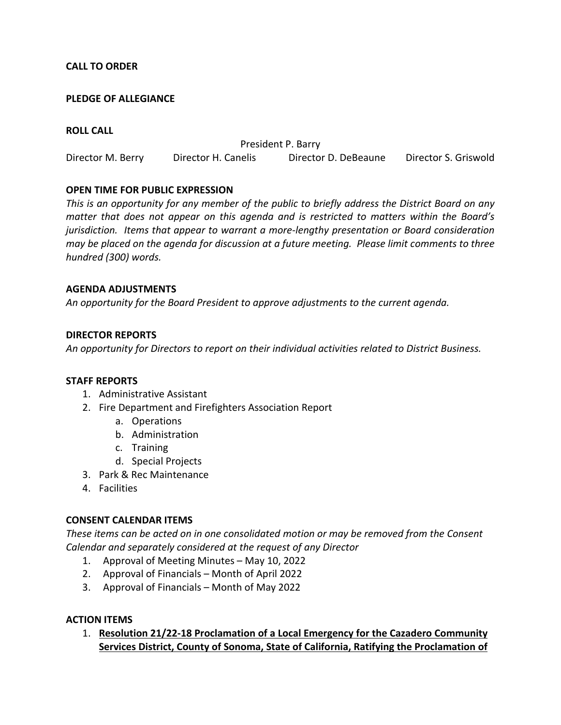## **CALL TO ORDER**

### **PLEDGE OF ALLEGIANCE**

### **ROLL CALL**

President P. Barry Director M. Berry Director H. Canelis Director D. DeBeaune Director S. Griswold

### **OPEN TIME FOR PUBLIC EXPRESSION**

*This is an opportunity for any member of the public to briefly address the District Board on any matter that does not appear on this agenda and is restricted to matters within the Board's jurisdiction. Items that appear to warrant a more-lengthy presentation or Board consideration may be placed on the agenda for discussion at a future meeting. Please limit comments to three hundred (300) words.* 

### **AGENDA ADJUSTMENTS**

*An opportunity for the Board President to approve adjustments to the current agenda.* 

### **DIRECTOR REPORTS**

*An opportunity for Directors to report on their individual activities related to District Business.* 

#### **STAFF REPORTS**

- 1. Administrative Assistant
- 2. Fire Department and Firefighters Association Report
	- a. Operations
	- b. Administration
	- c. Training
	- d. Special Projects
- 3. Park & Rec Maintenance
- 4. Facilities

#### **CONSENT CALENDAR ITEMS**

*These items can be acted on in one consolidated motion or may be removed from the Consent Calendar and separately considered at the request of any Director* 

- 1. Approval of Meeting Minutes May 10, 2022
- 2. Approval of Financials Month of April 2022
- 3. Approval of Financials Month of May 2022

#### **ACTION ITEMS**

1. **Resolution 21/22-18 Proclamation of a Local Emergency for the Cazadero Community Services District, County of Sonoma, State of California, Ratifying the Proclamation of**